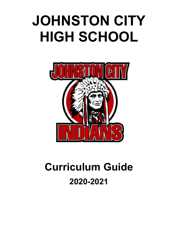# **JOHNSTON CITY HIGH SCHOOL**



# **Curriculum Guide 2020-2021**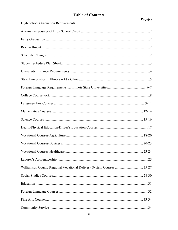# **Table of Contents**

|                                                                      | Page(s) |
|----------------------------------------------------------------------|---------|
|                                                                      |         |
|                                                                      |         |
|                                                                      |         |
|                                                                      |         |
|                                                                      |         |
|                                                                      |         |
|                                                                      |         |
|                                                                      |         |
|                                                                      |         |
|                                                                      |         |
|                                                                      |         |
|                                                                      |         |
|                                                                      |         |
|                                                                      |         |
|                                                                      |         |
|                                                                      |         |
|                                                                      |         |
|                                                                      |         |
| Williamson County Regional Vocational Delivery System Courses  25-27 |         |
|                                                                      |         |
|                                                                      |         |
|                                                                      |         |
|                                                                      |         |
|                                                                      |         |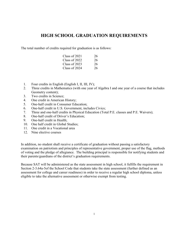# **HIGH SCHOOL GRADUATION REQUIREMENTS**

The total number of credits required for graduation is as follows:

| Class of 2021 | 26 |
|---------------|----|
| Class of 2022 | 26 |
| Class of 2023 | 26 |
| Class of 2024 | 26 |

- 1. Four credits in English (English I, II, III, IV);
- 2. Three credits in Mathematics (with one year of Algebra I and one year of a course that includes Geometry content);
- 3. Two credits in Science;
- 4. One credit in American History;
- 5. One-half credit in Consumer Education;
- 6. One-half credit in U.S. Government, includes Civics;
- 7. Three and one-half credits in Physical Education (Total P.E. classes and P.E. Waivers);
- 8. One-half credit of Driver's Education;
- 9. One-half credit in Health;
- 10. One half credit in Global Studies;
- 11. One credit in a Vocational area
- 12. Nine elective courses

In addition, no student shall receive a certificate of graduation without passing a satisfactory examination on patriotism and principles of representative government, proper use of the flag, methods of voting and the pledge of allegiance. The building principal is responsible for notifying students and their parents/guardians of the district's graduation requirements.

Because SAT will be administered as the state assessment in high school, it fulfills the requirement in Section 2-3.64a-5of the School Code that students take the state assessment (further defined as an assessment for college and career readiness) in order to receive a regular high school diploma, unless eligible to take the alternative assessment or otherwise exempt from testing.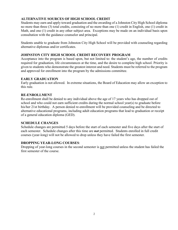#### **ALTERNATIVE SOURCES OF HIGH SCHOOL CREDIT**

Students may earn and apply toward graduation and the awarding of a Johnston City High School diploma no more than three (3) total credits, consisting of no more than one (1) credit in English, one (1) credit in Math, and one (1) credit in any other subject area. Exceptions may be made on an individual basis upon consultation with the guidance counselor and principal.

Students unable to graduate from Johnston City High School will be provided with counseling regarding alternative diplomas and/or certificates.

#### **JOHNSTON CITY HIGH SCHOOL CREDIT RECOVERY PROGRAM**

Acceptance into the program is based upon, but not limited to: the student's age, the number of credits required for graduation, life circumstances at the time, and the desire to complete high school. Priority is given to students who demonstrate the greatest interest and need. Students must be referred to the program and approved for enrollment into the program by the admissions committee.

#### **EARLY GRADUATION**

Early graduation is not allowed. In extreme situations, the Board of Education may allow an exception to this rule.

#### **RE-ENROLLMENT**

Re-enrollment shall be denied to any individual above the age of 17 years who has dropped out of school and who could not earn sufficient credits during the normal school year(s) to graduate before his/her 21st birthday. A person denied re-enrollment will be provided counseling and be directed to alternative educational programs, including adult education programs that lead to graduation or receipt of a general education diploma (GED).

#### **SCHEDULE CHANGES**

Schedule changes are permitted 5 days before the start of each semester and five days after the start of each semester. Schedule changes after this time are *not* permitted. Students enrolled in full credit courses (year-long) will not be allowed to drop unless they have failed the first semester.

#### **DROPPING YEAR-LONG COURSES**:

Dropping of year-long courses in the second semester is not permitted unless the student has failed the first semester of the course.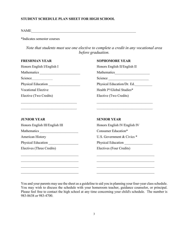#### **STUDENT SCHEDULE PLAN SHEET FOR HIGH SCHOOL**

 $\label{eq:NAME} \text{NAME}\xspace_1\text{NAME} \xspace_2\text{new} \xspace_3\text{new} \xspace_4\text{new} \xspace_5\text{new} \xspace_6\text{new} \xspace_7\text{new} \xspace_7\text{new} \xspace_8\text{new} \xspace_7\text{new} \xspace_8\text{new} \xspace_8\text{new} \xspace_8\text{new} \xspace_8\text{new} \xspace_8\text{new} \xspace_8\text{new} \xspace_8\text{new} \xspace_8\text{new} \xspace_8\text{new} \xspace_8\text{new} \xspace_8\text{$ 

\*Indicates semester courses

*Note that students must use one elective to complete a credit in any vocational area before graduation.*

#### **FRESHMAN YEAR SOPHOMORE YEAR**

| Honors English I/English I                                                                                           | Honors English II/English II                                                                                        |
|----------------------------------------------------------------------------------------------------------------------|---------------------------------------------------------------------------------------------------------------------|
|                                                                                                                      |                                                                                                                     |
|                                                                                                                      |                                                                                                                     |
|                                                                                                                      | Physical Education/Dr. Ed.                                                                                          |
| <b>Vocational Elective</b>                                                                                           | Health I*/Global Studies*                                                                                           |
| Elective (Two Credits)                                                                                               | Elective (Two Credits)                                                                                              |
|                                                                                                                      | <u> 1989 - Johann John Stoff, deutscher Stoffen und der Stoffen und der Stoffen und der Stoffen und der Stoffen</u> |
| <b>JUNIOR YEAR</b>                                                                                                   | <b>SENIOR YEAR</b>                                                                                                  |
| Honors English III/English III                                                                                       | Honors English IV/English IV                                                                                        |
|                                                                                                                      | Consumer Education*                                                                                                 |
| <b>American History</b>                                                                                              | U.S. Government & Civics *                                                                                          |
| Physical Education                                                                                                   | Physical Education                                                                                                  |
| Electives (Three Credits)                                                                                            | Electives (Four Credits)                                                                                            |
| <u> 1950 - Johann John Barn, mars eta inperiodoren eta inperiodoren eta inperiodoren erroman erroman erroman err</u> |                                                                                                                     |
| the control of the control of the control of the control of the control of the control of                            | the control of the control of the control of the control of the control of the control of                           |
| the control of the control of the control of the control of the control of the control of                            |                                                                                                                     |
|                                                                                                                      |                                                                                                                     |

You and your parents may use the sheet as a guideline to aid you in planning your four-year class schedule. You may wish to discuss the schedule with your homeroom teacher, guidance counselor, or principal. Please feel free to contact the high school at any time concerning your child's schedule. The number is 983-8638 or 983-4700.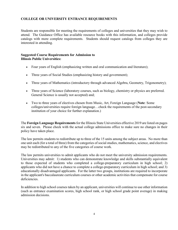#### **COLLEGE OR UNIVERSITY ENTRANCE REQUIREMENTS**

Students are responsible for meeting the requirements of colleges and universities that they may wish to attend. The Guidance Office has available resource books with this information, and colleges provide catalogs with more complete requirements. Students should request catalogs from colleges they are interested in attending.

#### **Suggested Course Requirements for Admission to Illinois Public Universities:**

- Four years of English (emphasizing written and oral communication and literature);
- Three years of Social Studies (emphasizing history and government);
- Three years of Mathematics (introductory through advanced Algebra, Geometry, Trigonometry);
- Three years of Science (laboratory courses, such as biology, chemistry or physics are preferred. General Science is usually not accepted) and;
- Two to three years of electives chosen from Music, Art, Foreign Language (**Note**: Some colleges/universities require foreign language…check the requirements of the post-secondary institution of your choice for further explanation.)

The **Foreign Language Requirements**for the Illinois State Universities effective 2019 are listed on pages six and seven. Please check with the actual college admissions office to make sure no changes in their policy have taken place.

The law permits students to redistribute up to three of the 15 units among the subject areas. No more than one unit each (for a total of three) from the categories of social studies, mathematics, science, and electives may be redistributed to any of the five categories of course work.

The law permits universities to admit applicants who do not meet the university admission requirements. Universities may admit: 1) students who can demonstrate knowledge and skills substantially equivalent to those expected of students who completed a college-preparatory curriculum in high school; 2) applicants who did not have a chance to complete a college-preparatory curriculum in high school; and 3) educationally disadvantaged applicants. For the latter two groups, institutions are required to incorporate in the applicant's baccalaureate curriculum courses or other academic activities that compensate for course deficiencies.

In addition to high school courses taken by an applicant, universities will continue to use other information (such as entrance examination scores, high school rank, or high school grade point average) in making admission decisions.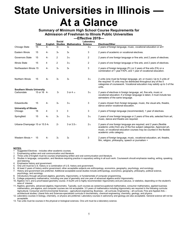# **State Universities in Illinois — At a Glance**

### **Summary of Minimum High School Course Requirements for Admission of Freshman to Illinois Public Universities**

**—Effective 2019—**

|                                     | Total         | English        | <b>Social</b><br><b>Studies</b> | <b>Mathematics Science</b> | Laboratory      | <b>Electives/Other</b>                                                                                                                                                                                                                             |
|-------------------------------------|---------------|----------------|---------------------------------|----------------------------|-----------------|----------------------------------------------------------------------------------------------------------------------------------------------------------------------------------------------------------------------------------------------------|
| Chicago State                       | 15            | 4 <sub>1</sub> | 3 <sub>7</sub>                  | 3 <sub>8</sub>             | 3 <sub>12</sub> | 2 years of foreign language, music, vocational education or art+                                                                                                                                                                                   |
| Eastern Illinois                    | 15            | 4 <sub>1</sub> | 3 <sub>4</sub>                  | 3 <sub>8</sub>             | 3               | 2 years of academic or vocational electives.                                                                                                                                                                                                       |
| <b>Governors State</b>              | 15            | 4 <sub>1</sub> | $\overline{2}$                  | 3 <sub>10</sub>            | 2               | 2 years of one foreign language or fine arts; and 2 years of electives.                                                                                                                                                                            |
| <b>Illinois State</b>               | 15            | 4              | 2                               | 3 <sub>10</sub>            | 2               | 2 years of one foreign language or fine arts; and 2 years of electives.                                                                                                                                                                            |
| Northeastern Illinois 15            |               | 4 <sub>1</sub> | 3 <sub>4</sub>                  | 3 <sub>8</sub>             | 3               | 2 years of foreign language (FL), or 2 years of fine arts (FA) or a<br>combination of 1 year FA/FL and 1 year of vocational education.                                                                                                             |
| Northern Illinois                   | 15            | 4 <sub>2</sub> | 3 <sub>5</sub>                  | 39                         | 3 <sub>13</sub> | 2 units (one must be foreign language, art, or music); Up to 3 units of<br>the required 15 units may be distributed throughout any of the 5<br>categories of coursework. Vocational education may satisfy up to 3 of the<br>units.                 |
| <b>Southern Illinois University</b> |               |                |                                 |                            |                 |                                                                                                                                                                                                                                                    |
| Carbondale                          | 15 or 16 $41$ |                | 3 <sub>7</sub>                  | 3 or 4 10                  | 3 <sub>12</sub> | 2 years of electives in foreign language, art, fine arts, music or<br>vocational education; if a foreign language is taken, it must include two<br>semesters of the same language.                                                                 |
| Edwardsville                        | 15            | 4 <sub>1</sub> | 3 <sub>4</sub>                  | 3 <sub>10</sub>            | 3               | 2 years chosen from foreign language, music, the visual arts, theatre,<br>dance and/or vocational education.                                                                                                                                       |
| <b>University of Illinois</b>       |               |                |                                 |                            |                 |                                                                                                                                                                                                                                                    |
| Chicago                             | 16            | 4              | 3                               | 3                          | 3               | 2 years of foreign language (recommended); 1 year of electives.                                                                                                                                                                                    |
| Springfield                         | 15            | 4 <sub>3</sub> | 3 <sub>5</sub>                  | 3 <sub>10</sub>            | 3 <sub>12</sub> | 2 years of one foreign language or 2 years of fine arts, selected from art,<br>music, dance and theatre are required.                                                                                                                              |
| Urbana-Champaign 15 or 15.5 43      |               |                | 2 <sub>7</sub>                  | 3 or 3.5 <sub>11</sub>     | $2_{12}$        | 2 years of one foreign language are required; and 2 years (flexible<br>academic units) from any of the five subject categories. Approved art,<br>music, or vocational education courses may be counted in the flexible<br>academic units category. |
| Western Illinois +                  | 15            | 4 <sub>1</sub> | 34                              | 3 <sub>8</sub>             | 3               | 2 years of foreign language, music, vocational education, art, theatre,<br>film, religion, philosophy, speech or journalism +                                                                                                                      |

#### **NOTES:**

- + Suggested Electives includes other academic courses.
- 1. Emphasizing written and oral communication and literature.
- 2. Three units of English must be courses emphasizing written and oral communication and literature.
- 3. Studies in language, composition, and literature requiring practice in expository writing in all such work. Coursework should emphasize reading, writing, speaking, and listening.
- 4. Emphasize history and government.
- 5. One unit must be U.S. history or a combination of U.S. history and government.
- 6. At least 2 years of history and/or government; other acceptable subjects are anthropology, economics, geography, psychology, and sociology.
- 7. History and government are preferred. Additional acceptable social studies include anthropology, economics, geography, philosophy, political science,
- psychology, and sociology.
- 8. Introductory through advanced algebra, geometry, trigonometry, or fundamentals of computer programming.
- 9. College preparatory mathematics, including one year of geometry and one year of advanced algebra and/or trigonometry. 10. Algebra I & II, and a proof-based geometry course. A fourth unit is highly recommended: trigonometry and pre-calculus, or statistics, depending on the student's area of interest.
- 11. Algebra, geometry, advanced algebra, trigonometry. Typically, such courses as career/occupational mathematics, consumer mathematics, applied business mathematics, pre-algebra, and computer courses are not acceptable. 3.5 years of mathematics including trigonometry are required in the following curricula: Agricultural, Consumer and Environmental Sciences – agricultural engineering; Business – all curricula; Engineering – all curricula; Fine and Applied Arts – architectural studies; Liberal Arts and Sciences-specialized curricula in biochemistry, chemical engineering, chemistry, geology, and physics.
- 12. Laboratory courses in biology, chemistry, or physics are preferred. Laboratory courses in astronomy and geology are also acceptable. General science will not be acceptable.

13. Two units must be courses in the physical or biological sciences. One unit must be a laboratory science.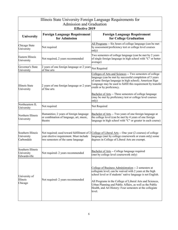| Illinois State University Foreign Language Requirements for |                                                                                               |                                                                                                                                                                                                                                                                                                                                                                                  |  |  |  |  |
|-------------------------------------------------------------|-----------------------------------------------------------------------------------------------|----------------------------------------------------------------------------------------------------------------------------------------------------------------------------------------------------------------------------------------------------------------------------------------------------------------------------------------------------------------------------------|--|--|--|--|
|                                                             | Admission and Graduation<br><b>Effective 2019</b>                                             |                                                                                                                                                                                                                                                                                                                                                                                  |  |  |  |  |
| University                                                  | <b>Foreign Language Requirement</b><br>for Admission                                          | <b>Foreign Language Requirement</b><br>for College Graduation                                                                                                                                                                                                                                                                                                                    |  |  |  |  |
| Chicago State<br>University                                 | Not required                                                                                  | All Programs -- Six hours of college language (can be met<br>by assessment/proficiency test or college level courses<br>only)                                                                                                                                                                                                                                                    |  |  |  |  |
| Eastern Illinois<br>University                              | Not required, 2 years recommended                                                             | Two semesters of college language (can be met by 2 years<br>of single foreign language in high school with "C" or better<br>average)                                                                                                                                                                                                                                             |  |  |  |  |
| Governor's State<br>University                              | 2 years of one foreign language or 2 years Not Required<br>of fine arts                       |                                                                                                                                                                                                                                                                                                                                                                                  |  |  |  |  |
| Illinois State<br>University                                | 2 years of one foreign language or 2 years<br>of fine arts                                    | Colleges of Arts and Sciences -- Two semesters of college<br>language (can be met by successful completion of 3 years<br>of same foreign language in high school). American Sign<br>Language may be used to fulfill this requirement by transfer<br>credit or by proficiency.                                                                                                    |  |  |  |  |
|                                                             |                                                                                               | <b>Bachelor of Arts</b> -- Three semesters of college language<br>(may be met by proficiency test or college level courses<br>only)                                                                                                                                                                                                                                              |  |  |  |  |
| Northeastern IL<br>University                               | Not required                                                                                  | Not Required                                                                                                                                                                                                                                                                                                                                                                     |  |  |  |  |
| Northern Illinois<br>University                             | Humanities; 2 years of foreign language<br>or combination of language, art, music,<br>theatre | Bachelor of Arts -- Two years of one foreign language at<br>the college level (can be met by 4 years of one foreign<br>language in high school with "C" or greater in each course)                                                                                                                                                                                               |  |  |  |  |
| Southern Illinois<br>University<br>Carbondale               | year elective requirement. Must include<br>two semesters of the same language                 | Not required; used toward fulfillment of 2 College of Liberal Arts -- One year (2 courses) of college<br>language (met by college coursework or exam only) some<br>degrees in College of Liberal Arts are exempt.                                                                                                                                                                |  |  |  |  |
| Southern Illinois<br>University<br>Edwardsville             | Not required-2 years recommended                                                              | Bachelor of Arts -- College language required<br>(met by college level coursework only)                                                                                                                                                                                                                                                                                          |  |  |  |  |
| University of<br>Illinois<br>Chicago                        | Not required- 2 years recommended                                                             | College of Business Administration -- 2 semesters at<br>collegiate level; can be waived with 2 years at the high<br>school level or if students' native language is not English.<br>All Programs in the College of Liberal Arts and Sciences,<br>Urban Planning and Public Affairs, as well as the Public<br>Health, and Art History: Four semesters at the collegiate<br>level. |  |  |  |  |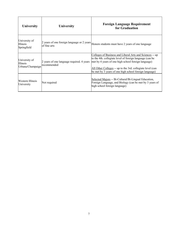| University                                    | University   | <b>Foreign Language Requirement</b><br>for Graduation                                                                                                                                                                                                                                                                                           |
|-----------------------------------------------|--------------|-------------------------------------------------------------------------------------------------------------------------------------------------------------------------------------------------------------------------------------------------------------------------------------------------------------------------------------------------|
| University of<br>Illinois<br>Springfield      |              | $ 2 \rangle$ years of one foreign language or 2 years $ $ Honors students must have 2 years of one language                                                                                                                                                                                                                                     |
| University of<br>Illinois<br>Urbana/Champaign | recommended  | Colleges of Business and Liberal Arts and Sciences -- up<br>to the 4th. collegiate level of foreign language (can be<br>2 years of one language required. 4 years   met by 4 years of one high school foreign language)<br>All Other Colleges -- up to the 3rd. collegiate level (can<br>be met by 3 years of one high school foreign language) |
| Western Illinois<br>University                | Not required | Selected Majors -- Bi-Cultural/Bi-Lingual Education,<br>Foreign Language, and Biology (can be met by 3 years of<br>high school foreign language)                                                                                                                                                                                                |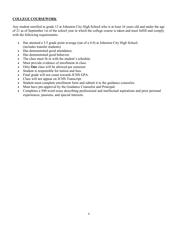#### **COLLEGE COURSEWORK**

Any student enrolled in grade 12 at Johnston City High School who is at least 16 years old and under the age of 21 as of September 1st of the school year in which the college course is taken and must fulfill and comply with the following requirements:

- Has attained a 3.5 grade point average (out of a 4.0) at Johnston City High School. (includes transfer students)
- Has demonstrated good attendance.
- Has demonstrated good behavior.
- The class must fit in with the student's schedule.
- Must provide evidence of enrollment in class.
- Only **One** class will be allowed per semester.
- Student is responsible for tuition and fees.
- Final grade will not count towards JCHS GPA.
- Class will not appear on JCHS Transcript.
- Student must complete enrollment form and submit it to the guidance counselor.
- Must have pre-approval by the Guidance Counselor and Principal.
- Completes a 500-word essay describing professional and intellectual aspirations and prior personal experiences, passions, and special interests.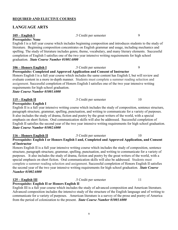#### **REQUIRED AND ELECTIVE COURSES**

### **LANGUAGE ARTS**

#### **105 – English I** .5 Credit per semester 9 **Prerequisite: None**

English I is a full year course which includes beginning composition and introduces students to the study of literature. Beginning composition concentrates on English grammar and usage, including mechanics and spelling. The study of literature includes genre, theme, vocabulary, and many literary elements. Successful completion of English I satisfies one of the two year intensive writing requirements for high school graduation. *State Course Number 01001A000*

#### **106 – Honors English I** .5 Credit per semester 9

**Prerequisite: Completed and Approved Application and Consent of Instructor**

Honors English I is a full year course which includes the same content has English I, but will review and evaluate content in a more in-depth manner. Students must complete a summer reading selection and assignment. Successful completion of Honors English I satisfies one of the two year intensive writing requirements for high school graduation.

*State Course Number 01001A000*

**115 – English II** .5 Credit per semester 10

**Prerequisite: English I**

English II is a full year intensive writing course which includes the study of composition, sentence structure, paragraph structure, grammar, spelling, punctuation, and writing to communicate for a variety of purposes. It also includes the study of drama, fiction and poetry by the great writers of the world, with a special emphasis on short fiction. Oral communication skills will also be addressed. Successful completion of English II satisfies the second year of the two year intensive writing requirements for high school graduation. *State Course Number 01002A000*

#### **116 – Honors English II** .5 Credit per semester 10 **Prerequisite: English I or Honors English I and, Completed and Approved Application, and Consent of Instructor**

Honors English II is a full year intensive writing course which includes the study of composition, sentence structure, paragraph structure, grammar, spelling, punctuation, and writing to communicate for a variety of purposes. It also includes the study of drama, fiction and poetry by the great writers of the world, with a special emphasis on short fiction. Oral communication skills will also be addressed. Students must complete a summer reading selection and assignment. Successful completion of Honors English II satisfies the second year of the two year intensive writing requirements for high school graduation. *State Course Number 01002A000*

**125 – English III** .5 Credit per semester 11

### **Prerequisite: English II or Honors English II**

English III is a full year course which includes the study of advanced composition and American literature. Advanced composition includes the intensive study of the structure of the English language and of writing to communicate for a variety of purposes. American literature is a survey of the prose and poetry of America from the period of colonization to the present. *State Course Number 01003A000*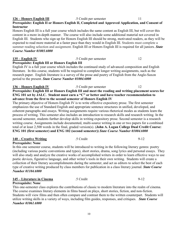### **126 – Honors English III** .5 Credit per semester 11

### **Prerequisite: English II or Honors English II, Completed and Approved Application, and Consent of Instructor**

Honors English III is a full year course which includes the same content as English III, but will cover this content in a more in-depth manner. The course will also include some additional material not covered in English III. Students who sign up for Honors English III should be strong, motivated readers, as they will be expected to read more material at a faster pace than they would in English III. Students must complete a summer reading selection and assignment. English III or Honors English III is required for all juniors. *State Course Number 01003A000*

#### **135 – English IV** .5 Credit per semester 12 **Prerequisite: English III or Honors English III**

English IV is a full year course which includes the continued study of advanced composition and English literature. In this course, students will be required to complete longer writing assignments, such as the research paper. English literature is a survey of the prose and poetry of English from the Anglo-Saxon period to the present. *State Course Number 01004A000*

**136 – Honors English IV** .5 Credit per semester 12 **Prerequisite: English III or Honors English III and meet the reading and writing placement scores for ENG 101 set by JALC. Student must earn a "C" or better and have teacher recommendation to advance from the first to the second semester of Honors English IV**

The primary objective of Honors English IV is to write effective expository prose. The first semester emphasizes the use of Standard English and appropriate sentence structures in unified, developed, and coherent paragraphs and essays. Writing assignments require various rhetorical modes as students learn the process of writing. This semester also includes an introduction to research skills and research writing. In the second semester, students further develop skills in writing expository prose. Second semester is a research writing course. Assignments include documented, multi-source writing in one or two papers for a combined total of at least 2,500 words in the final, graded version(s). (**John A. Logan College Dual Credit Course: ENG 101 (first semester) and ENG 102 (second semester))** *State Course Number 01004A000*

#### **140 – Creative Writing** .5 Credit 9-12

**Prerequisite: None** In this one semester course, students will be introduced to writing in the following literary genres: poetry (including various poetic conventions and types), short stories, drama, song lyrics and personal essays. They will also study and analyze the creative works of accomplished writers in order to learn effective ways to use poetic devices, figurative language, and other writer's tools in their own writing. Students will create a collection of their literary accomplishments during the semester, and act as editors to select the best of each type of creative writing produced by class members for publication in a class literary journal. *State Course Number 01104A000*

### **145 – Literature in Cinema** .5 Credit 9-12

This one-semester class explores the contributions of classic to modern literature into the realm of cinema. The course examines literary elements in films based on plays, short stories, fiction, and non-fiction. Students will view films and then often compare and contrast them to the written counterpart. Students will utilize writing skills in a variety of ways, including film guides, responses, and critiques. *State Course Number 01061A000*

# **Prerequisite: None**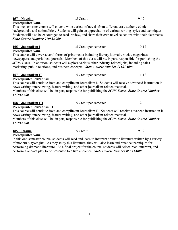| <b>Prerequisite: None</b>            |                                                                                                                                                                                                                                                                                                                                                                                                                |           |
|--------------------------------------|----------------------------------------------------------------------------------------------------------------------------------------------------------------------------------------------------------------------------------------------------------------------------------------------------------------------------------------------------------------------------------------------------------------|-----------|
|                                      | This one-semester course will cover a wide variety of novels from different eras, authors, ethnic                                                                                                                                                                                                                                                                                                              |           |
|                                      | backgrounds, and nationalities. Students will gain an appreciation of various writing styles and techniques.                                                                                                                                                                                                                                                                                                   |           |
|                                      | Students will also be encouraged to read, review, and share their own novel selections with their classmates.                                                                                                                                                                                                                                                                                                  |           |
| <b>State Course Number 01053A000</b> |                                                                                                                                                                                                                                                                                                                                                                                                                |           |
| <u> 165 – Journalism I</u>           | .5 Credit per semester                                                                                                                                                                                                                                                                                                                                                                                         | $10 - 12$ |
| <b>Prerequisite: None</b>            |                                                                                                                                                                                                                                                                                                                                                                                                                |           |
|                                      | This course will cover several forms of print media including literary journals, books, magazines,<br>newspapers, and periodical journals. Members of this class will be, in part, responsible for publishing the<br>JCHS Times. In addition, students will explore various other industry-related jobs, including sales,<br>marketing, public relations, and business concepts. State Course Number 11101A000 |           |
| <u> 167 – Journalism II</u>          | .5 Credit per semester                                                                                                                                                                                                                                                                                                                                                                                         | $11 - 12$ |
| Prerequisite: Journalism I           |                                                                                                                                                                                                                                                                                                                                                                                                                |           |
|                                      | This course will continue from and compliment Journalism I. Students will receive advanced instruction in                                                                                                                                                                                                                                                                                                      |           |
|                                      | news writing, interviewing, feature writing, and other journalism-related material.                                                                                                                                                                                                                                                                                                                            |           |
|                                      | Members of this class will be, in part, responsible for publishing the JCHS Times. State Course Number                                                                                                                                                                                                                                                                                                         |           |
| 11101A000                            |                                                                                                                                                                                                                                                                                                                                                                                                                |           |
| <u> 168 – Journalism III</u>         | .5 Credit per semester                                                                                                                                                                                                                                                                                                                                                                                         | 12        |
| Prerequisite: Journalism II          |                                                                                                                                                                                                                                                                                                                                                                                                                |           |
|                                      | This course will continue from and compliment Journalism II. Students will receive advanced instruction in                                                                                                                                                                                                                                                                                                     |           |
|                                      | news writing, interviewing, feature writing, and other journalism-related material.                                                                                                                                                                                                                                                                                                                            |           |
|                                      | Members of this class will be, in part, responsible for publishing the JCHS Times. State Course Number                                                                                                                                                                                                                                                                                                         |           |
| 11101A000                            |                                                                                                                                                                                                                                                                                                                                                                                                                |           |
| 185 – Drama                          | .5 Credit                                                                                                                                                                                                                                                                                                                                                                                                      | $9 - 12$  |

**157 – Novels** .5 Credit 9-12

### **Prerequisite: None**

In this one-semester course, students will read and learn to interpret dramatic literature written by a variety of modern playwrights. As they study this literature, they will also learn and practice techniques for performing dramatic literature. As a final project for the course, students will select, read, interpret, and perform a one-act play to be presented to a live audience. *State Course Number 05053A000*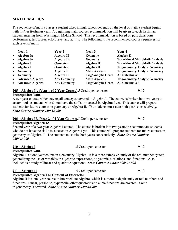# **MATHEMATICS**

The sequence of math courses a student takes in high school depends on the level of math a student begins with his/her freshman year. A beginning math course recommendation will be given to each freshman student entering from Washington Middle School. This recommendation is based on past classroom performance, test scores, effort level and ability. The following is the recommended course sequences for each level of math:

|           | Year 1             | <b>Year 2</b>       | Year 3                    | Year 4                                 |
|-----------|--------------------|---------------------|---------------------------|----------------------------------------|
| $\bullet$ | Algebra IA         | Algebra IB          | Geometry                  | Algebra II                             |
| $\bullet$ | Algebra IA         | <b>Algebra IB</b>   | <b>Geometry</b>           | <b>Transitional Math/Math Analysis</b> |
| $\bullet$ | Algebra I          | Geometry            | Algebra II                | <b>Transitional Math/Math Analysis</b> |
| $\bullet$ | Algebra I          | <b>Geometry</b>     | Algebra II                | <b>Trigonometry/Analytic Geometry</b>  |
| $\bullet$ | <b>Geometry</b>    | Algebra II          | <b>Math Analysis</b>      | <b>Trigonometry/Analytic Geometry</b>  |
| $\bullet$ | <b>Geometry</b>    | Algebra II          | <b>Trig/Analytic Geom</b> | <b>AP Calculus AB</b>                  |
|           | • Advanced Algebra | <b>Adv Geometry</b> | <b>Math Analysis</b>      | <b>Trigonometry/Analytic Geometry</b>  |
|           | • Advanced Algebra | <b>Adv Geometry</b> | <b>Trig/Analytic Geom</b> | <b>AP Calculus AB</b>                  |

#### **205 – Algebra IA (Year 1 of 2 Year Course)**.5 Credit per semester 9-12

#### **Prerequisite: None**

A two-year course, which covers all concepts, covered in Algebra I. The course is broken into two years to accommodate students who do not have the skills to succeed in Algebra I yet. This course will prepare students for future courses in geometry or Algebra II. The students must take both years consecutively. *State Course Number 02053A000*

#### **206 – Algebra IB (Year 2 of 2 Year Course)**.5 Credit per semester 9-12

#### **Prerequisite: Algebra IA**

Second year of a two-year Algebra I course. The course is broken into two years to accommodate students who do not have the skills to succeed in Algebra I yet. This course will prepare students for future courses in geometry or Algebra II. The students must take both years consecutively. *State Course Number 02054A000*

**210 – Algebra I** .5 Credit per semester 9-12

#### **Prerequisite: None**

Algebra I is a one-year course in elementary Algebra. It is a more extensive study of the real number system generalizing the use of variables in algebraic expressions, polynomials, relations, and functions. Also included is a study of linear and quadratic equations. *State Course Number 02052A000*

| $211 - Algebra II$                                      | .5 Credit per semester | 9-12 |
|---------------------------------------------------------|------------------------|------|
| <b>Prerequisite: Algebra I or Consent of Instructor</b> |                        |      |

Algebra II is a one-year course in Intermediate Algebra, which is a more in depth study of real numbers and functions. Linear, parabolic, hyperbolic, other quadratic and cubic functions are covered. Some trigonometry is covered. *State Course Number 02056A000*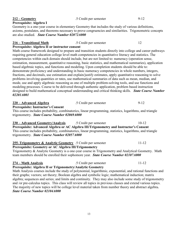**212 – Geometry** .5 Credit per semester 9-12

#### **Prerequisite: Algebra I**

Geometry is a one-year course in elementary Geometry that includes the study of various definitions, axioms, postulates, and theorems necessary to prove congruencies and similarities. Trigonometric concepts are also studied. *State Course Number 02072A000*

### **216 – Transitional Math** .5 Credit per semester 12

### **Prerequisite: Algebra II or instructor consent**

Math course framework designed to prepare and transition students directly into college and career pathways requiring general education college level math competencies in quantitative literacy and statistics. The competencies within each domain should include, but are not limited to: numeracy (operation sense, estimation, measurement, quantitative reasoning, basic statistics, and mathematical summaries), application based algebraic topics, and functions and modeling. Upon completion students should be able to: demonstrate proficiency and understanding in basic numeracy competencies in whole numbers, integers, fractions, and decimals, use estimation and explain/justify estimates, apply quantitative reasoning to solve problems involving quantities or rates, use mathematical summaries of data such as mean, median, and mode, use and apply algebraic reasoning as one of multiple problem-solving tools, and use functions and modeling processes. Course to be delivered through authentic application, problem based instruction designed to build mathematical conceptual understanding and critical thinking skills. *State Course Number 02201A001*

**220 – Advanced Algebra** .5 Credit per semester 9-12 **Prerequisite: Instructor's Consent** This course includes probability, combinatorics, linear programming, statistics, logarithms, and triangle trigonometry. *State Course Number 02069A000*

**230 – Advanced Geometry/Analysis** .5 Credit per semester 10-12 **Prerequisite: Advanced Algebra or AC Algebra III/Trigonometry and Instructor's Consent** This course includes probability, combinatorics, linear programming, statistics, logarithms, and triangle trigonometry. *State Course Number 02057A000*

#### **255–Trigonometry & Analytic Geometry** .5 Credit per semester 11-12 **Prerequisite: Geometry or AC Algebra III/Trigonometry**

Trigonometry & Analytic Geometry is a one-year course in Trigonometry and Analytical Geometry. Math team members should be enrolled their sophomore year. *State Course Number 02107A000*

#### **274 – Math Analysis** .5 Credit per semester 11-12 **Prerequisite: Algebra II or Trigonometry/Analytic Geometry**

Math Analysis courses include the study of polynomial, logarithmic, exponential, and rational functions and their graphs; vectors; set theory; Boolean algebra and symbolic logic; mathematical induction; matrix algebra; sequences and series; and limits and continuity. They may also include some study of trigonometry and /or pre-calculus topics. This class will review all topics in previous classes and extend various topics. The majority of new topics will be college level material taken from number theory and abstract algebra**.**  *State Course Number 02104A000*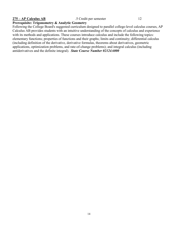#### **275 – AP Calculus AB** .5 Credit per semester 12

#### **Prerequisite: Trigonometry & Analytic Geometry**

Following the College Board's suggested curriculum designed to parallel college-level calculus courses, AP Calculus AB provides students with an intuitive understanding of the concepts of calculus and experience with its methods and applications. These courses introduce calculus and include the following topics: elementary functions; properties of functions and their graphs; limits and continuity; differential calculus (including definition of the derivative, derivative formulas, theorems about derivatives, geometric applications, optimization problems, and rate-of-change problems); and integral calculus (including antiderivatives and the definite integral). *State Course Number 02124A000*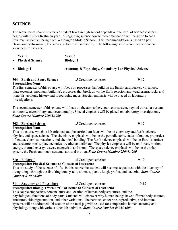# **SCIENCE**

The sequence of science courses a student takes in high school depends on the level of science a student begins with his/her freshman year. A beginning science course recommendation will be given to each freshman student entering from Washington Middle School. This recommendation is based on past classroom performance, test scores, effort level and ability. The following is the recommended course sequences for science:

| Year 1<br><b>Physical Science</b> | <b>Year 2</b><br><b>Biology I</b>                     |
|-----------------------------------|-------------------------------------------------------|
| <b>Biology I</b>                  | Anatomy & Physiology, Chemistry I or Physical Science |

| 304 – Earth and Space Science | .5 Credit per semester | $9-12$ |
|-------------------------------|------------------------|--------|
|-------------------------------|------------------------|--------|

#### **Prerequisite: None**

The first semester of this course will focus on processes that build up the Earth (earthquakes, volcanoes, plate tectonics, mountain building), processes that break down the Earth (erosion and weathering), rocks and minerals, geologic history and topographic maps. Special emphasis will be placed on laboratory investigations.

The second semester of this course will focus on the atmosphere, our solar system, beyond our solar system, astronomy, meteorology and oceanography. Special emphasis will be placed on laboratory investigations. *State Course Number 03008A000*

| <b>308 – Physical Science</b> | .5 Credit per semester |  |
|-------------------------------|------------------------|--|
|                               |                        |  |

#### **Prerequisite: None**

This is a course which is lab-oriented and the curriculum focus will be on chemistry and Earth science, physics, and space science. The chemistry emphasis will be on the periodic table, states of matter, properties of matter, chemical reactions, and chemical bonding. The Earth science emphasis will be on Earth's surface and structure, rocks, plate tectonics, weather and climate. The physics emphasis will be on forces, motion, energy, thermal energy, waves, magnetism and sound. The space science emphasis will be on the solar system, the Earth and moon system, stars and the sun. *State Course Number 03001A000*

#### **310 – Biology I** .5 Credit per semester 9-12

# **Prerequisite: Physical Science or Consent of Instructor**

This is a study of the science of life. In this course the student will become acquainted with the diversity of living things through the five-kingdom system, animals, plants, fungi, profist, and bacteria. *State Course Number 03051A000*

#### **311 – Anatomy and Physiology** .5 Credit per semester 10-12

# **Prerequisite: Biology I with a "C" or better or Consent of Instructor**

This course emphasizes nomenclature and location of human body structures, and the physiological functions of body parts. Students will discover why human beings have different body statures, structures, skin pigmentation, and other variations. The nervous, endocrine, reproductive, and immune systems will be addressed. Dissection of the fetal pig will be used for comparative human anatomy and physiology along with various other lab activities. *State Course Number 03053A000*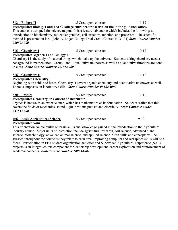| $312 - Biology II$                                     | .5 Credit per semester                                                                                     | $11 - 12$ |
|--------------------------------------------------------|------------------------------------------------------------------------------------------------------------|-----------|
|                                                        | Prerequisite: Biology I and JALC college entrance test scores on file in the guidance office.              |           |
|                                                        | This course is designed for science majors. It is a lecture-lab course which includes the following: an    |           |
|                                                        | introduction to biochemistry, molecular genetics, cell structure, function, and processes. The scientific  |           |
|                                                        | method is presented in lab. (John A. Logan College Dual Credit Course: BIO 101) State Course Number        |           |
| 03052A000                                              |                                                                                                            |           |
| $315$ – Chemistry I                                    | .5 Credit per semester                                                                                     | $10 - 12$ |
| Prerequisite: Algebra I and Biology I                  |                                                                                                            |           |
|                                                        | Chemistry I is the study of material things which make up the universe. Students taking chemistry need a   |           |
|                                                        | background in mathematics. Group I and II qualitative unknowns as well as quantitative titrations are done |           |
| in class. State Course Number 03101A000                |                                                                                                            |           |
| $316$ – Chemistry II                                   | .5 Credit per semester                                                                                     | $11 - 12$ |
| <b>Prerequisite: Chemistry I</b>                       |                                                                                                            |           |
|                                                        | Beginning with acids and bases, Chemistry II covers organic chemistry and quantitative unknowns as well.   |           |
|                                                        | There is emphasis on laboratory skills. State Course Number 03102A000                                      |           |
| 320 – Physics                                          | .5 Credit per semester                                                                                     | $11 - 12$ |
| <b>Prerequisite: Geometry or Consent of Instructor</b> |                                                                                                            |           |
|                                                        | Physics is known as an exact science, which has mathematics as its foundation. Students realize that this  |           |
|                                                        | covers the fields of mechanics, sound, light, heat, magnetism and electricity. <b>State Course Number</b>  |           |
| <i>03151A000</i>                                       |                                                                                                            |           |

| 456 – Basic Agricultural Science | .5 Credit per semester | $9-12$ |
|----------------------------------|------------------------|--------|
|----------------------------------|------------------------|--------|

#### **Prerequisite: None**

This orientation course builds on basic skills and knowledge gained in the introduction to the Agricultural Industry course. Major units of instruction include agricultural research, soil science, advanced plant science, biotechnology, advanced animal science, and applied science. Math skills and concepts will be stressed throughout the course as they relate to each area. Improving computer and workplace skills will be a focus. Participation in FFA student organization activities and Supervised Agricultural Experience (SAE) projects is an integral course component for leadership development, career exploration and reinforcement of academic concepts. *State Course Number 18003A001*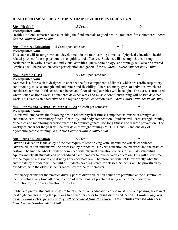#### **HEALTH/PHYSICAL EDUCATION & TRAINING/DRIVER'S EDUCATION**

#### **330 – Health I** .5 Credit 10

#### **Prerequisite: None**

Health I is a one-semester course teaching the fundamentals of good health. Required for sophomores. *State Course Number 08051A000*

#### **350 – Physical Education** .5 Credit per semester 9-12

#### **Prerequisite: None**

This course will foster growth and development in the four learning domains of physical education: health related physical fitness, psychomotor, cognitive, and affective. Students will accomplish this through participation in various team and individual activities. Rules, terminology, and strategy will also be covered. Emphasis will be placed on active participation and general fitness. *State Course Number 08001A000*

**352 – Aerobic Class** .5 Credit per semester 9-12

#### **Prerequisite: None**

Aerobics is a fitness class designed to enhance the four components of fitness, which are cardio-respiratory conditioning, muscle strength and endurance and flexibility. There are many types of activities, which are considered aerobic. In this class, step bench and floor (dance) aerobics will be taught. The class is structured where bench or floor work is done three days per week and muscle condition/training will be two days per week. This class is an alternative to the regular physical education class. *State Course Number 08005A000*

#### **354 – Fitness and Weight Training (Co-Ed)**.5 Credit per semester 9-12

#### **Prerequisite: None**

Course will emphasize the following health related physical fitness components: muscular strength and endurance, cardio-respiratory fitness, flexibility, and body composition. Students will learn strength training principles and monitoring exercise exertion to promote general life-long fitness and disease prevention. The weekly calendar for the year will be four days of weight training (M, T, TH, and F) and one day of plyometric/aerobic training (W). *State Course Number 08009A000*

#### **380 – Driver's Education** .5 Credit 9-12 Driver's Education is the study of the techniques of safe driving with "behind the wheel" experience. Driver's education students will be processed by birthdates. Driver's education course work and the practical portion ("behind the wheel") will be combined with physical education courses to facilitate scheduling. Approximately 40 students can be scheduled each semester to take driver's education. This will allow time for the required classroom and driving hours per state law. Therefore, we will not know exactly what the cutoff date by birthdate will be until all students have registered for classes. Students will be prioritized by birthdates, with the oldest students scheduled for the fall semester.

Proficiency exams for the practice driving part of driver education course are permitted at the discretion of the instructor at any time after completion of three hours of practice driving under direct individual instruction by the driver education instructor.

Public and private students who desire to take the driver's education course must receive a passing grade in at least eight courses during the previous two semesters prior to taking driver's education. *A student may miss no more than 4 class periods or they will be removed from the course*. **This includes excused absences.** *State Course Number 08152A000*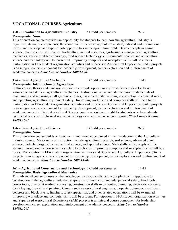# **VOCATIONAL COURSES-Agriculture**

# **450 – Introduction to Agricultural Industry** .5 Credit per semester 9-12

# **Prerequisite: None**

This orientation course provides an opportunity for students to learn how the agricultural industry is organized; its major components; the economic influence of agriculture at state, national and international levels; and the scope and types of job opportunities in the agricultural field. Basic concepts in animal science, plant science, soil science, horticulture, natural resources, agribusiness management, agricultural mechanics, agricultural biotechnology, food science technology, environmental science and aquacultural science and technology will be presented. Improving computer and workplace skills will be a focus. Participation in FFA student organization activities and Supervised Agricultural Experience (SAE) projects is an integral course component for leadership development, career exploration and reinforcement of academic concepts. *State Course Number 18001A001*

# **454 – Basic Agricultural Mechanics** .5 Credit per semester 10-12

# **Prerequisite: Introduction to Agriculture**

In this course, theory and hands-on experiences provide opportunities for students to develop basic knowledge and skills in agricultural mechanics. Instructional areas include the basic fundamentals of maintaining and repairing small gasoline engines, basic electricity, welding, construction, cold metal work, and operating agricultural equipment safely. Improving workplace and computer skills will be a focus. Participation in FFA student organization activities and Supervised Agricultural Experience (SAE) projects is an integral course component for leadership development, career exploration and reinforcement of academic concepts. Basic Agricultural Science counts as a science credit for students who have already completed one year of physical science or biology or an equivalent science course. *State Course Number 18401A001*

#### **456 – Basic Agricultural Science** .5 Credit per semester 9-12 **Prerequisite: None**

This orientation course builds on basic skills and knowledge gained in the introduction to the Agricultural Industry course. Major units of instruction include agricultural research, soil science, advanced plant science, biotechnology, advanced animal science, and applied science. Math skills and concepts will be stressed throughout the course as they relate to each area. Improving computer and workplace skills will be a focus. Participation in FFA student organization activities and Supervised Agricultural Experience (SAE) projects is an integral course component for leadership development, career exploration and reinforcement of academic concepts. *State Course Number 18003A001*

# **461 – Agricultural Construction and Technology** .5 Credit per semester 11-12

**Prerequisite: Basic Agricultural Mechanics**

This advanced course focuses on the knowledge, hands-on skills, and work place skills applicable to construction in the agricultural industry. Major units of instruction include: personal safety, hand tools, power tools, blue print reading, surveying, construction skills in carpentry, plumbing, electricity, concrete, block laying, drywall and painting. Careers such as agricultural engineers, carpenter, plumber, electrician, concrete and block layers, finishers, safety specialists, and other related occupations will be examined. Improving workplace and computer skills will be a focus. Participation in FFA student organization activities and Supervised Agricultural Experience (SAE) projects is an integral course component for leadership development, career exploration and reinforcement of academic concepts. *State Course Number 18403A001*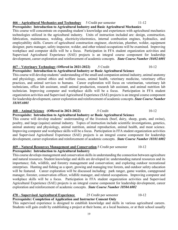### **466 – Agricultural Mechanics and Technology** 5 Credit per semester 11-12

**Prerequisite: Introduction to Agricultural Industry and Basic Agricultural Mechanics** This course will concentrate on expanding student's knowledge and experiences with agricultural mechanics technologies utilized in the agricultural industry. Units of instruction included are: design, construction, fabrication, maintenance, welding, electricity/electronics, internal combustion engines, hydraulics, and employability skills. Careers of agricultural construction engineer, electrician, plumber, welder, equipment designer, parts manager, safety inspector, welder, and other related occupations will be examined. Improving workplace and computer skills will be a focus. Participation in FFA student organization activities and Supervised Agricultural Experience (SAE) projects is an integral course component for leadership development, career exploration and reinforcement of academic concepts. *State Course Number 18402A001*

#### **467 – Veterinary Technology** (**Offered in 2021-2022)** .5 Credit 10-12

### **Prerequisite: Introduction to Agricultural Industry or Basic Agricultural Science**

This course will develop students' understanding of the small and companion animal industry, animal anatomy and physiology, animal ethics and welfare issues, animal health, veterinary medicine, veterinary office practices, and animal services to humans. Career exploration will focus on veterinarian, veterinary lab technicians, office lab assistant, small animal production, research lab assistant, and animal nutrition lab technician. Improving computer and workplace skills will be a focus. Participation in FFA student organization activities and Supervised Agricultural Experience (SAE) projects is an integral course component for leadership development, career exploration and reinforcement of academic concepts. *State Course Number 18105A001*

#### **468 – Animal Science (Offered in 2021-2022)** .5 Credit 10-12

#### **Prerequisite: Introduction to Agricultural Industry or Basic Agricultural Science**

This course will develop students' understanding of the livestock (beef, dairy, sheep, goats, and swine), poultry, and large (equine) animal industry. Topics of instruction include scientific investigations, genetics, animal anatomy and physiology, animal nutrition, animal reproduction, animal health, and meat science. Improving computer and workplace skills will be a focus. Participation in FFA student organization activities and Supervised Agricultural Experience (SAE) projects is an integral course component for leadership development, career exploration and reinforcement of academic concepts. *State Course Number 18101A002*

#### **469 – Natural Resources Management and Conservation**.5 Credit per semester 10-12 **Prerequisite: Introduction to Agricultural Industry**

This course develops management and conservation skills in understanding the connection between agriculture and natural resources. Student knowledge and skills are developed in: understanding natural resources and its importance; fish, wildlife, and forestry management and conservation; and exploring outdoor recreational enterprises. Hunting and fishing as a sport, growing and managing tree forests, and outdoor safety education will be featured. Career exploration will be discussed including: park ranger, game warden, campground manager, forester, conservation officer, wildlife manager, and related occupations. Improving computer and workplace skills will be a focus. Participation in FFA student organization activities and Supervised Agricultural Experience (SAE) projects is an integral course component for leadership development, career exploration and reinforcement of academic concepts. *State Course Number 18504A002*

#### **470 – Supervised Agricultural Experience** .25 Credit per semester 10-12

#### **Prerequisite: Completion of Application and Instructor Consent Only**

This supervised experience is designed to establish knowledge and skills in various agricultural careers. Students will gain credit by establishing a project at their home, at a local business, or at their school usually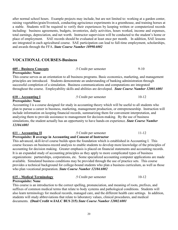after normal school hours. Example projects may include, but are not limited to: working at a garden center, raising vegetables/grain/livestock, conducting agriscience experiments in a greenhouse, and training horses at a stable. Students will be required to verify their experiences by keeping written or computerized records including: business agreements, budgets, inventories, daily activities, hours worked, income and expenses, total earnings, depreciation, and net worth. Instructor supervision will be conducted to the student's home or place of employment. SAE records should be evaluated at least once per month. In addition, SAE lessons are integrated in each agricultural course. SAE participation can lead to full-time employment, scholarships, and awards through the FFA. *State Course Number 18998A002*

### **VOCATIONAL COURSES-Business**

**605 – Business Concepts** .5 Credit per semester 9-10

#### **Prerequisite: None**

This course serves as an orientation to all business programs. Basic economics, marketing, and management principles are introduced. Students demonstrate an understanding of banking administration through successful completion of a simulation. Business communications and computations are integrated throughout the course. Employability skills and abilities are developed. *State Course Number 12001A001*

| 610 – Accounting I | .5 Credit per semester | $10 - 12$ |
|--------------------|------------------------|-----------|
|                    |                        |           |

# **Prerequisite: None**

Accounting I is a course designed for study in accounting theory which will be useful to all students who plan to pursue a career in business, marketing, management production, or entrepreneurship. Instruction will include information on keeping financial records, summarizing them for convenient interpretation, and analyzing them to provide assistance to management for decision-making. By the use of business simulations, the student actually has an opportunity to have hands-on experience. *State Course Number 12104A001*

| $611 -$ Accounting II | .5 Credit per semester                                          | $11-12$ |
|-----------------------|-----------------------------------------------------------------|---------|
|                       | Prerequisite: B average in Accounting and Consent of Instructor |         |

This advanced, skill-level course builds upon the foundation which is established in Accounting I. This course focuses on business-record analysis to enable students to develop more knowledge of the principles of accounting for decision making. Greater emphasis is placed on financial statements and accounting records. It is an expanded study of accounting principles as they apply to more complicated types of business organizations: partnerships, corporations, etc. Some specialized accounting computer applications are made available. Simulated business conditions may be provided through the use of practice sets. This course provides a technical background for college-bound students who plan a business curriculum, as well as those who plan vocational preparation. *State Course Number 12104A002*

| 615 – Medical Terminology | .5 Credit per semester | $10 - 12$ |
|---------------------------|------------------------|-----------|
|---------------------------|------------------------|-----------|

#### **Prerequisite: None**

This course is an introduction to the correct spelling, pronunciation, and meaning of roots, prefixes, and suffixes of common medical terms that relate to body systems and pathological conditions. Students will also learn terminology for medical records, managed care, and the different health care settings. In addition, students will study abbreviations that relate to laboratory values, clinical procedures, and medical documents. **(Dual Credit w/JALC BUS 215)** *State Course Number 12002A001*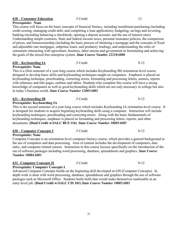| <b>Prerequisite: None</b>                                                                                   |           |                                                                                                                 |  |
|-------------------------------------------------------------------------------------------------------------|-----------|-----------------------------------------------------------------------------------------------------------------|--|
|                                                                                                             |           | This course will focus on the basic concepts of financial literacy, including installment purchasing (including |  |
| credit scoring, managing credit debt, and completing a loan application), budgeting, savings and investing, |           |                                                                                                                 |  |
| banking (including balancing a checkbook, opening a deposit account, and the use of interest rates)         |           |                                                                                                                 |  |
|                                                                                                             |           | Understanding simple contracts, State and federal income taxes, personal insurance policies, the comparison     |  |
|                                                                                                             |           | of prices, and homeownership (including the basic process of obtaining a mortgage and the concepts of fixed     |  |
| and adjustable rate mortgages, subprime loans, and predatory lending), and understanding the roles of       |           |                                                                                                                 |  |
|                                                                                                             |           | consumers interacting with agriculture, business, labor unions and government in formulating and achieving      |  |
|                                                                                                             |           |                                                                                                                 |  |
| the goals of the mixed free enterprise system. State Course Number 22210A000                                |           |                                                                                                                 |  |
| <u>620 – Keyboarding IA</u>                                                                                 | .5 Credit | $9 - 12$                                                                                                        |  |
| <b>Prerequisite: None</b>                                                                                   |           |                                                                                                                 |  |
| This is a (first semester of a year-long course which includes Keyboarding IB) orientation-level course     |           |                                                                                                                 |  |
|                                                                                                             |           |                                                                                                                 |  |
|                                                                                                             |           | designed to develop basic skills and keyboarding techniques taught on computers. Emphasis is placed on          |  |
|                                                                                                             |           | keyboarding technique, proofreading, correcting errors, formatting and processing letters, memos, reports       |  |
|                                                                                                             |           | with reference and title pages, outlines and tables. Students who complete this course will have a strong       |  |
|                                                                                                             |           | knowledge of computers as well as good keyboarding skills which are not only necessary in college but also      |  |
| in today's business world. State Course Number 12005A001                                                    |           |                                                                                                                 |  |
|                                                                                                             |           |                                                                                                                 |  |
| 621 – Keyboarding IB                                                                                        | .5 Credit | $9 - 12$                                                                                                        |  |
| <b>Prerequisite: Keyboarding IA</b>                                                                         |           |                                                                                                                 |  |
|                                                                                                             |           | This is the second semester of a year-long course which includes Keyboarding IA orientation-level course. It    |  |
|                                                                                                             |           | is designed for students to acquire beginning keyboarding skills using a computer. Instruction will include     |  |
| keyboarding techniques, proofreading and correcting errors. Along with the basic fundamentals of            |           |                                                                                                                 |  |
| keyboarding techniques, emphasis is placed on formatting and processing letters, reports, and other         |           |                                                                                                                 |  |
| documents. (Dual Credit w/JALC BUS 116) State Course Number 10005A001                                       |           |                                                                                                                 |  |
|                                                                                                             |           |                                                                                                                 |  |
| <u>630 – Computer Concepts I</u>                                                                            | .5 Credit | $9 - 12$                                                                                                        |  |
| <b>Prerequisite: None</b>                                                                                   |           |                                                                                                                 |  |
|                                                                                                             |           | Computer Concepts is an orientation-level computer literacy course, which provides a general background in      |  |
|                                                                                                             |           | the use of computers and data processing. Area of content includes the development of computers, data           |  |
|                                                                                                             |           | entry, and computer-related careers. Instruction in this course focuses specifically on the introduction of the |  |
|                                                                                                             |           | use of software packages including word processing, database, spreadsheets and graphics. State Course           |  |
| <b>Number 10004A001</b>                                                                                     |           |                                                                                                                 |  |
|                                                                                                             |           |                                                                                                                 |  |
| 632 – Computer Concepts II                                                                                  | .5 Credit | $9 - 12$                                                                                                        |  |
| <b>Prerequisite: Computer Concepts I</b>                                                                    |           |                                                                                                                 |  |
|                                                                                                             |           | Advanced Computer Concepts builds on the beginning skill developed in 630 (Computer Concepts). In               |  |
|                                                                                                             |           | depth work is done with word processing, database, spreadsheets and graphics through the use of software        |  |
| packages such as Microsoft Office. Students build skills that would make themselves marketable in an        |           |                                                                                                                 |  |
|                                                                                                             |           |                                                                                                                 |  |

entry-level job. **(Dual Credit w/JALC CIS 101)** *State Course Number 10005A001*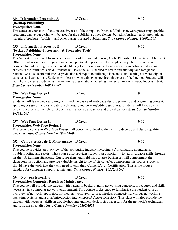#### **634 –Information Processing A** .5 Credit 9-12 **(Desktop Publishing) Prerequisite: None**

This semester course will focus on creative uses of the computer. Microsoft Publisher, word processing, graphics programs, and layout design will be used for the publishing of newsletters, bulletins, business cards, promotional materials, brochures, booklets, and other business related publications. *State Course Number 10005A001*

# **635 – Information Processing B** .5 Credit 9-12 **(Desktop Publishing-Photography & Production Tools)**

**Prerequisite: None**

This Semester course will focus on creative uses of the computer using Adobe Photoshop Elements and Microsoft Office. Students will use a digital camera and photo editing software to complete projects. This course is designed to build strong visual and media literacy for life-long use and awareness of career/higher education choices in the multimedia field. Students will learn the skills needed to create and alter digital photographs. Students will also learn multimedia production techniques by utilizing video and sound editing software, digital cameras, and camcorders. Students will learn how to gain exposure through the use of the Internet. Students will learn how to create academic and entertaining presentations including movies, animations, music logos and text. *State Course Number 10005A002*

| 636 – Web Page Design I                                                                                      | .5 Credit | 9-12 |
|--------------------------------------------------------------------------------------------------------------|-----------|------|
| <b>Prerequisite: None</b>                                                                                    |           |      |
| Students will learn web searching skills and the basics of web page design: planning and organizing content, |           |      |
| applying design principles, creating web pages, and creating/editing graphics. Students will have several    |           |      |

web site projects to complete. Students will also use a scanner and digital camera. *State Course Number 10201A001*

#### **637 – Web Page Design II** .5 Credit 9-12

**Prerequisite: Web Page Design I**

This second course in Web Page Design will continue to develop the skills to develop and design quality web sites. *State Course Number 10201A002*

### **652 – Computer Repair & Maintenance** .5 Credit 9-12

#### **Prerequisite: None**

This course provides an overview of the computing industry including PC installation, maintenance, troubleshooting and repair. This course also provides students an opportunity to learn valuable skills through on-the-job training situations. Guest speakers and field trips to area businesses will complement the classroom instruction and provide valuable insight to the IT field. After completing this course, students should have the tools that they will need to earn their CompTIA A+ Certification. This is the industry standard for computer support technicians. *State Course Number 10252A0001*

### **654 – Network Essentials** .5 Credit 9-12

#### **Prerequisite: Computer Repair & Maintenance**

This course will provide the student with a general background in networking concepts, procedures and skills necessary in a computer network environment. This course is designed to familiarize the student with an overview of network topologies, physical network architecture, wireless connectivity, various networking operating systems and a brief introduction into Microsoft Active Directory. This class will also provide the student with necessary skills in troubleshooting and help desk topics necessary for the network's technician and software specialist. *State Course Number 10102A001*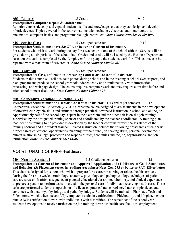#### **655 – Robotics** .5 Credit 9-12 **Prerequisite: Computer Repair & Maintenance**

Robotics courses develop and expand students' skills and knowledge so that they can design and develop robotic devices. Topics covered in the course may include mechanics, electrical and motor controls, pneumatics, computer basics, and programmable logic controllers. *State Course Number 21009A000*

# **645 – Service Class** .5 Credit per semester 10-12

**Prerequisite: Student must have 3.0 GPA or better or Consent of Instructor.** For students who wish to work during the day for a teacher or in one of the school offices. Service will be

given during all six periods of the school day. Grades and credit will be issued by the Business Department based on evaluations completed by the "employers" - the people the students work for. This course can be repeated with a maximum of two credits. *State Course Number 12002A001*

#### **180 – Yearbook** .5 Credit per semester 10-12

### **Prerequisite: 3.0 GPA, Information Processing I and II or Consent of Instructor**

Students in this course will sell ads, take photos during school and in the evening at school events/sports, and plan, prepare and produce the school yearbook independently and simultaneously with information processing, and web page design. The course requires computer work and may require extra time before and after school to meet deadlines. *State Course Number 10005A001*

# **650 – Cooperative Vocational Education (CVE)**

**Prerequisite: Student must be a senior, Consent of Instructor** 1.5 Credits per semester 12 Cooperative Vocational Education (CVE) is a capstone course designed to assist students in the development of effective employable skills and attitudes through practical, advanced instruction in school and on the job. Approximately half of the school day is spent in the classroom and the other half is on-the-job training supervised by the designated training sponsor and coordinated by the teacher-coordinator. A training plan that identifies training to be provided is developed by the teacher-coordinator with the assistance of the training sponsor and the student-trainee. Related instruction includes the following broad areas of emphasis: further career educational opportunities, planning for the future, job-seeking skills, personal development, human relationships, legal protection and responsibilities, economics and the job, organizations, and job termination. *State Course Number 22153A001*

# **VOCATIONAL COURSES-Healthcare**

# **740 – Nursing Assistant I** 1.5 Credit per semester 12

**Prerequisite: (1) Consent of Instructor and Approved Application and (2) History of Good Attendance and Behavior**, **(3) Placement scores in reading; Accuplacer Next-Gen-233 or better or SAT-480 or better** This class is designed for seniors who wish to prepare for a career in nursing or related health services. During the first nine weeks terminology, anatomy, physiology and pathophysiology techniques of patient care are stressed. It offers a sequence of planned educational classroom, laboratory, and clinical experiences to prepare a person to perform tasks involved in the personal care of individuals receiving health care. These tasks are performed under the supervision of a licensed practical nurse, registered nurse or physician and continues with anatomy, physiology and pathophysiology. Students will be trained in Pharmacy Tech and Phlebotomy, which when successfully completed results in certification in Phlebotomy and job placement or pursue DSP certification to work with individuals with disabilities. The remainder of the school year, students have options to receive further on the job training at various health care facilities, employment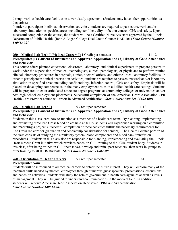through various health care facilities in a work/study agreement, (Students may have other opportunities as they arise.)

In order to participate in clinical observation activities, students are required to pass coursework and/or laboratory simulation in specified areas including confidentiality, infection control, CPR and safety. Upon successful completion of the course, the student will be a Certified Nurse Assistant approved by the Illinois Department of Public Health. (John A Logan College Dual Credit Course: NAD 101) *State Course Number 14051A001*

#### **750 – Medical Lab Tech I (Medical Careers I)** 1 Credit per semester 11-12 **Prerequisite: (1) Consent of Instructor and Approved Application and (2) History of Good Attendance and Behavior**

This course offers planned educational classroom, laboratory, and clinical experiences to prepare persons to work under the supervision of medical technologists, clinical pathologists, or physicians to perform routine clinical laboratory procedures in hospitals, clinics, doctors' offices, and other c1inical laboratory facilities. In order to participate in clinical observation activities, students are required to pass coursework and/or laboratory simulation in specified areas including confidentiality, infection control, CPR and safety. Emphasis will be placed on developing competencies in the many employment roles in all allied health care settings. Students will be prepared to enter articulated associate degree programs at community colleges or universities and/or post-high school employment placements. Successful completion of the American Heart Association CPR Health Care Provider course will resort in advanced certification. *State Course Number 14102A001*

# **755 – Medical Lab Tech II** .5 Credit per semester 11-12

#### **Prerequisite: (1) Consent of Instructor and Approved Application and (2) History of Good Attendance and Behavior**

Students in this class learn how to function as a member of a healthcare team. By planning, implementing and evaluating three Red Cross blood drives held at JCHS, students will experience working on a committee and marketing a project. (Successful completion of these activities fulfills the necessary requirements for Red Cross red cord for graduation and scholarship consideration for seniors). The Health Science portion of the class consists of studying the circulatory system, blood components and blood bank/transfusion procedures. Students in this class also are responsible for planning, implementing and evaluating the Illinois Heart Rescue Grant initiative which provides hands-on CPR training to the JCHS student body. Students in this class, after being trained in CPR themselves, develop and train "peer teachers" then work in groups to offer training to all JCHS students. *State Course Number 14002A002*

### **760 – Orientation to Health Careers** .5 Credit per semester 10-12

#### **Prerequisite: None**

Students will be introduced to all medical careers to determine future interest. They will explore many of the technical skills needed by medical employees through numerous guest speakers, presentations, discussions and hands-on activities. Students will study the role of government in health care agencies as well as levels of management. They will be guided to understand communications in the medical field. In addition, students will receive American Heart Association Heartsaver CPR/First Aid certification. *State Course Number 14001A001*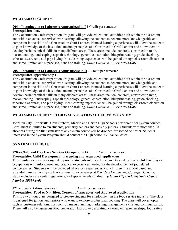#### **WILLIAMSON COUNTY**

# **704 – Introduction to Laborer's Apprenticeship I** 1 Credit per semester 11

## **Prerequisite:** None

The Construction Craft Preparation Program will provide educational activities both within the classroom and within an actual supervised work setting, allowing the students to become more knowledgeable and competent in the skills of a Construction Craft Laborer. Planned learning experiences will allow the students to gain knowledge of the basic fundamental principles of a Construction Craft Laborer and allow them to develop basic technical skills in many different areas. These areas include: concrete, construction math, mason tending, landscaping, asphalt technology, general construction, blueprint reading, grade checking, asbestos awareness, and pipe laying. Most learning experiences will be gained through classroom discussion and some, limited and supervised, hands on training. *State Course Number 17002A001*

### **705 – Introduction to Laborer's Apprenticeship II** 1 Credit per semester 12

#### **Prerequisite:** Apprenticeship I

The Construction Craft Preparation Program will provide educational activities both within the classroom and within an actual supervised work setting, allowing the students to become more knowledgeable and competent in the skills of a Construction Craft Laborer. Planned learning experiences will allow the students to gain knowledge of the basic fundamental principles of a Construction Craft Laborer and allow them to develop basic technical skills in many different areas. These areas include: concrete, construction math, mason tending, landscaping, asphalt technology, general construction, blueprint reading, grade checking, asbestos awareness, and pipe laying. Most learning experiences will be gained through classroom discussion and some, limited and supervised, hands on training. *State Course Number 17002A002* 

# **WILLIAMSON COUNTY REGIONAL VOCATIONAL DELIVERY SYSTEM**

Johnston City, Carterville, Crab Orchard, Marion and Herrin High Schools offer credit for system courses. Enrollment is limited to ten students, primarily seniors and possibly juniors. Students with more than 10 absences during the first semester of any system course will be dropped for second semester. Students interested in the System Program should contact the High School Guidance Office.

# **SYSTEM COURSES:**

#### **720 – Child and Day Care Services Occupations IA** 1 Credit per semester 12 **Prerequisite: Child Development, Parenting and Approved Application**

This two-hour course is designed to provide students interested in elementary education or child and day care occupations with information and practical experiences needed for the development of job related competencies. Students will be provided laboratory experiences with children in a school based and extended campus facility such as community experiences at Day Care Centers and Colleges. Classroom study includes care center regulations, and special needs children. *(Herrin High School) State Course Number 19054A001*

# **721 – ProStart /Food Service I** 1 Credit per semester 12

**Prerequisite: Food & Nutrition, Consent of Instructor and Approved Application**

This is a two-hour class designed to prepare students for employment in the food service industry. The class is designed for juniors and seniors who want to explore professional cooking. The class will cover topics such as customer relations, cost control, menu planning, marketing, management skills and communication. There will also be numerous food preparation labs, cake decorating, catering entrepreneurships, food safety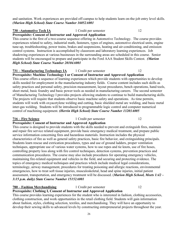#### and sanitation. Work experiences are provided off-campus to help students learn on-the-job entry level skills. *(Marion High School) State Course Number 16052A001*

# **730 –Automotive Tech IA** 1 Credit per semester 12

#### **Prerequisite: Consent of Instructor and Approved Application**

This course is the first of a two-course sequence offering in Automotive Technology. The course provides experiences related to safety, industrial math, fasteners, types of engines, automotive electrical units, engine tune-up, troubleshooting, power trains, brakes and suspensions, heating and air-conditioning, and emission control systems. Instruction is accomplished by classroom and laboratory learning experiences. Job shadowing experiences at various businesses in the surrounding areas are scheduled in this course. Senior students will be encouraged to prepare and participate in the Ford AAA Student Skills Contest. *(Marion High School) State Course Number 20104A001*

#### **731 – Manufacturing Technology IA** 1 Credit per semester 12 **Prerequisite: Machine Technology I or Consent of Instructor and Approved Application**

This course offers a sequence of learning experiences which provide students with opportunities to develop skills needed for employment in the manufacturing industry fields. Course content includes such skills as safety practices and personal safety, precision measurement, layout procedures, bench operations, hand tools, sheet metal, basic foundry and basic power tools as needed in manufacturing careers. The second semester of Manufacturing Technology I provides projects allowing students to continue to build manufacturing skills. The projects will require that students observe basic machine safety and operations. As time permits, students will work with oxyacetylene welding and cutting, basic shielded metal arc welding, and basic metal inter-gas welding. Students will be introduced to programmable logic control and computer numerical control of machining equipment. *(Herrin High School) State Course Number 13203A005*

### **716 – Fire Science** 1 Credit per semester 12

### **Prerequisite: Consent of Instructor and Approved Application**

This course is designed to provide students with the skills needed to prevent and extinguish fires, maintain and repair fire service related equipment, provide basic emergency medical treatment, and prepare public service information concerning fires and hazardous materials. Instruction includes the physical characteristics of fire as well as general safety practices, basic fire behavior, and extinguishing principals. Students learn rescue and extrication procedures, types and use of ground ladders, proper ventilation techniques, appropriate use of various water systems, how to use ropes and tie knots, use of fire hoses, controlling property loss along with fire control techniques, detection systems, prevention practices and communication procedures. The course may also include procedures for operating emergency vehicles, maintaining fire-related equipment and vehicles in the field, and securing and protecting evidence. The topics of emergency medical techniques and practices which include medical legal considerations, terminology, airway management, procedures for treating poisoning and allergic reactions, environmental emergencies, how to treat soft tissue injuries, musculoskeletal, head and spine injuries, initial patient assessment, transportation, and emergency treatment will be discussed. (*Marion High School, Meets 1:42 – 3:15 p.m. daily) State Course Number 15152A001*

#### **780 – Fashion Merchandising** 1 Credit per semester 12

# **Prerequisite: Clothing I, Consent of Instructor and Approved Application**

This course provides learning experiences for the student who is interested in fashion, clothing accessories, clothing construction, and work opportunities in the retail clothing field. Students will gain information about fashion, styles, clothing selection, textiles, and merchandising. They will have an opportunity to develop their sewing skills to advanced levels by constructing entrepreneurial projects throughout the year.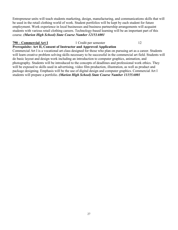Entrepreneur units will teach students marketing, design, manufacturing, and communications skills that will be used in the retail clothing world of work. Student portfolios will be kept by each student for future employment. Work experience in local businesses and business partnership arrangements will acquaint students with various retail clothing careers. Technology-based learning will be an important part of this course. *(Marion High School) State Course Number 12153A001*

#### **790 – Commercial Art I** 1 Credit per semester 12 **Prerequisite: Art II, Consent of Instructor and Approved Application**

Commercial Art I is a vocational art class designed for those who plan on pursuing art as a career. Students will learn creative problem solving skills necessary to be successful in the commercial art field. Students will do basic layout and design work including an introduction to computer graphics, animation, and photography. Students will be introduced to the concepts of deadlines and professional work ethics. They will be exposed to skills used in advertising, video film production, illustration, as well as product and package designing. Emphasis will be the use of digital design and computer graphics. Commercial Art I students will prepare a portfolio. *(Marion High School) State Course Number 11155A001*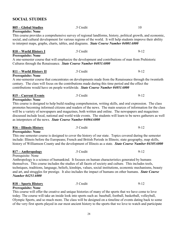# **805 – Global Studies** .5 Credit 10 **Prerequisite: None** This course provides a comprehensive survey of regional landforms, history, political growth, and economic, social, and cultural development for various regions of the world. It will help students improve their ability to interpret maps, graphs, charts, tables, and diagrams. *State Course Number 04001A000* **810 – World History I** .5 Credit 9-12 **Prerequisite: None** A one-semester course that will emphasize the development and contributions of man from Prehistoric Cultures through the Renaissance. *State Course Number 04051A000* **811 – World History II** .5 Credit 9-12 **Prerequisite: None** A one-semester course that concentrates on developments made from the Renaissance through the twentieth century. The class will focus on the contributions made during this time period and the effect the contributions would have on people worldwide. *State Course Number 04051A000* **815 – Current Events** .5 Credit 9-12 **Prerequisite: None** This course is designed to help build reading comprehension, writing skills, and oral expression. The class promotes becoming informed citizens and readers of the news. The main sources of information for the class will be a variety of newspapers and magazines, both written and online. The newspapers and magazines discussed include local, national and world wide events. The students will learn to be news gatherers as well as interpreters of the news. *State Course Number 04064A000* **816 – Illinois History** .5 Credit 9-12 **Prerequisite: None** This one semester course is designed to cover the history of our state. Topics covered during the semester include: Illinois before the Europeans; French and British Periods in Illinois; state geography, map skills, history of Williamson County and the development of Illinois as a state. *State Course Number 04105A000* **817 – Anthropology** .5 Credit 9-12 Prerequisite: None Anthropology is a science of humankind. It focuses on human characteristics generated by humans themselves. This course includes the studies of all facets of society and culture. This includes tools, techniques, traditions, language, beliefs, kinships, values, social institutions, economic mechanisms, beauty and art, and struggles for prestige. It also includes the impact of humans on other humans. *State Course Number 04251A000* **818 – Sports History** .5 Credit 9-12 **Prerequisite: None**

**SOCIAL STUDIES**

This course will offer the creative and unique histories of many of the sports that we have come to love today. The course will take an inside look into sports such as: baseball, football, basketball, volleyball, Olympic Sports, and so much more. The class will be designed on a timeline of events dating back to some of the very first sports played in our most ancient history to the sports that we love to watch and participate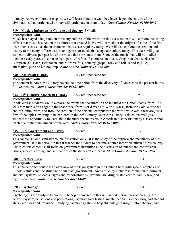in today. As we explore these sports we will learn about the way they have shaped the culture of the civilizations that participated or may still participate in them today. *State Course Number 04109A000*

#### **819 – Music's Influence on Culture and Society** .5 Credit 9-12

#### **Prerequisite: None**

Music has played a huge role in the many cultures of the world. In this class students will explore the lasting effects that music has had on the cultures that created it. We will learn about the origins of some of the first instruments as well as the instruments that we see regularly today. We will also explore the creation and history of the many different styles and genres of music that shape our culture today. This class will give students a diverse perspective of the music that surrounds them. Some of the music that will be studied includes: early percussive music from parts of Africa, Eastern Asian music, Gregorian chants, classical European (i.e. Bach, Beethoven, and Mozart), folk, country, gospel, rock and roll, R and B, blues, alternative, pop and hip hop/ rap. *State Course Number 04302A000*

**830 – American History** .5 Credit per semester 11

**Prerequisite: None**

The content in American History covers the time period from the discovery of America to the present in this full-year course. *State Course Number 04101A000*

| 832 - 20 <sup>th</sup> Century American History | .5 Credit per semester |  |
|-------------------------------------------------|------------------------|--|
|                                                 |                        |  |

#### **Prerequisite: None**

In this course students would explore the events that occurred in and included the United States, from 1900- 99. From man's first flight to the space race, from World War I to World War II, from the Cold War to the end of Communism, and from the creation of the personal computer to the world wide web, these are just a few of the topics awaiting to be explored in the  $20<sup>th</sup>$  Century American History. This course will give students the opportunity to learn about the more recent events in American history that many classes cannot teach due to the time crunch of one year. *State Course Number 04103A000*

| 835 – U.S. Government and Civics | .5 Credit |  |
|----------------------------------|-----------|--|
|                                  |           |  |

#### **Prerequisite: None**

This course is a one-semester course for seniors only. It is the study of the purpose and machinery of our government. It is important in that it teaches the student to become a better-informed citizen of this country. Civics course content shall focus on government institutions, the discussion of current and controversial issues, service learning, and simulations of the democratic process. *State Course Number 04151A000*

### **840 – Practical Law** .5 Credit 11-12

**Prerequisite: None** This one-semester course is an overview of the legal system in the United States with special emphasis on Illinois statutes and the structure of our state government. Areas of study include: introduction to criminal and civil systems, students' rights and responsibilities, juvenile law, drug-related crimes, family law, and legal vocabulary. *State Course Number 04163A000*

**870 – Psychology** .5 Credit 11-12

#### **Prerequisite: None**

Psychology is the study of behavior. The topics covered in this will include: principles of learning, the nervous system, sensations and perceptions, psychological testing, mental health disorders, drug and alcohol abuse, attitudes and prejudice. Studying psychology should help students gain insight into behavior, and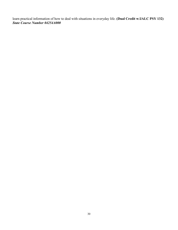learn practical information of how to deal with situations in everyday life. **(Dual Credit w/JALC PSY 132)**  *State Course Number 04254A000*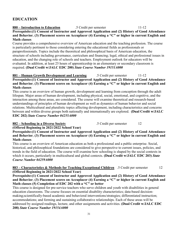# **EDUCATION**

#### **880 – Introduction to Education** .5 Credit per semester 11-12 **Prerequisite:(1) Consent of Instructor and Approved Application and (2) History of Good Attendance and Behavior**, **(3) Placement scores on Accuplacer (4) Earning a "C" or higher in current English and Math classes**

Course provides a comprehensive overview of American education and the teaching profession. The course is particularly pertinent to those considering entering the educational fields as professionals or paraprofessionals. Topics include the theoretical and philosophical basis of American education, the structure of schools including governance, curriculum and financing; legal, ethical and professional issues in education, and the changing role of schools and teachers. Employment outlook for educators will be evaluated. In addition, at least 25 hours of apprenticeship in an elementary or secondary classroom is required. **(Dual Credit w/JALC EDC 200)** *State Course Number 19151A000*

#### **881 – Human Growth Development and Learning** .5 Credit per semester 11-12 **Prerequisite:(1) Consent of Instructor and Approved Application and (2) History of Good Attendance and Behavior**, **(3) Placement scores on Accuplacer (4) Earning a "C" or higher in current English and Math classes**

This course is an overview of human growth, development and learning from conception through the adult lifespan. Major areas of human development, including physical, social, emotional, and cognitive, and the interaction among these areas, are considered. The course will examine theoretical and research-based understandings of principles of human development as well as dynamics of human behavior and social relations. Multicultural and pluralistic topics affecting development, including characteristics and concerns between and within diverse groups both nationally and internationally are explored. **(Dual Credit w/JALC EDC 202)** *State Course Number 04255A000*

#### **882 – Schooling in a Diverse Society** .5 Credit per semester 12

**(Offered Beginning in 2021/2022 School Year)**

**Prerequisite:(1) Consent of Instructor and Approved Application and (2) History of Good Attendance and Behavior**, **(3) Placement scores on Accuplacer (4) Earning a "C" or higher in current English and Math classes**

This course is an overview of American education as both a professional and a public enterprise. Social, historical, and philosophical foundations are considered to give perspective to current issues, policies, and trends in the field of education. The course will examine how schooling is shaped by the social contexts in which it occurs, particularly in multicultural and global contexts. **(Dual Credit w/JALC EDC 203)** *State Course Number 04259A000*

#### **883 – Characteristics & Methods for Teaching Exceptional Children** .5 Credit per semester 12 **(Offered Beginning in 2021/2022 School Year)**

**Prerequisite:(1) Consent of Instructor and Approved Application and (2) History of Good Attendance and Behavior**, **(3) Placement scores on Accuplacer (4) Earning a "C" or higher in current English and Math classes (5) Completion of EDC 202 with a "C" or better**

This course is designed for pre-service teachers who serve children and youth with disabilities in general education classrooms. The course focuses on essential disability characteristics; data-based decisionmaking;scientifically-based academic and behavioral interventions/strategies; differentiated instruction; accommodations; and forming and sustaining collaborative relationships. Each of these areas will be addressed by assigned readings, lecture, and other assignments and activities. **(Dual Credit w/JALC EDC 208)** *State Course Number 19154A000*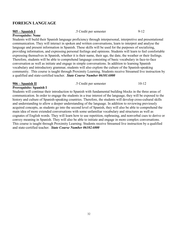### **FOREIGN LANGUAGE**

#### **905 – Spanish I** .5 Credit per semester 9-12

#### **Prerequisite: None**

Students will build their Spanish language proficiency through interpersonal, interpretive and presentational communication. They will interact in spoken and written conversations, learn to interpret and analyse the language and present information in Spanish. These skills will be used for the purposes of socializing, providing information, and expressing personal feelings and opinions. Students will learn to feel comfortable expressing themselves in Spanish, whether it is their name, their age, the date, the weather or their feelings. Therefore, students will be able to comprehend language consisting of basic vocabulary in face-to-face conversation as well as initiate and engage in simple conversations. In addition to learning Spanish vocabulary and introductory grammar, students will also explore the culture of the Spanish-speaking community. This course is taught through Proximity Learning. Students receive Streamed live instruction by a qualified and state-certified teacher. *State Course Number 06101A000*

**906 – Spanish II** .5 Credit per semester 10-12

#### **Prerequisite: Spanish I**

Students will continue their introduction to Spanish with fundamental building blocks in the three areas of communication. In order to engage the students in a true interest of the language, they will be exposed to the history and culture of Spanish-speaking countries. Therefore, the students will develop cross-cultural skills and understanding to allow a deeper understanding of the language. In addition to reviewing previously acquired concepts, as students go into the second level of Spanish, they will also be able to comprehend the main idea of more extended conversations with some unfamiliar vocabulary and structures as well as cognates of English words. They will learn how to use repetition, rephrasing, and nonverbal cues to derive or convey meaning in Spanish. They will also be able to initiate and engage in more complex conversations. This course is taught through Proximity Learning. Students receive Streamed live instruction by a qualified and state-certified teacher. *State Course Number 06102A000*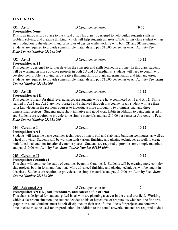| <b>Prerequisite: None</b>            |                                                                                                                                                                                                                        |           |  |  |
|--------------------------------------|------------------------------------------------------------------------------------------------------------------------------------------------------------------------------------------------------------------------|-----------|--|--|
|                                      | This is an introductory course to the visual arts. This class is designed to help builds students skills in                                                                                                            |           |  |  |
|                                      | problem solving, and creative thinking, which will help students all areas of life. In this class student will get                                                                                                     |           |  |  |
|                                      | an introduction to the elements and principles of design while working with both 2D and 3D mediums.                                                                                                                    |           |  |  |
|                                      | Students are required to provide some simple materials and pay \$10.00 per semester Art Activity Fee.                                                                                                                  |           |  |  |
| <b>State Course Number 05154A000</b> |                                                                                                                                                                                                                        |           |  |  |
| <u>932 – Art II</u>                  | .5 Credit per semester                                                                                                                                                                                                 | $10 - 12$ |  |  |
| Prerequisite: Art I                  |                                                                                                                                                                                                                        |           |  |  |
|                                      | This course is designed to further develop the concepts and skills learned in art one. In this class students<br>will be working on more advance projects in both 2D and 3D mediums. Students will need to continue to |           |  |  |
|                                      | develop their problem solving, and creative thinking skills through experimentation and trial and error.                                                                                                               |           |  |  |
|                                      | Students are required to provide some simple materials and pay \$10.00 per semester Art Activity Fee. State                                                                                                            |           |  |  |
| Course Number 05165A000              |                                                                                                                                                                                                                        |           |  |  |
|                                      |                                                                                                                                                                                                                        |           |  |  |
| $933 - Art III$                      | .5 Credit per semester                                                                                                                                                                                                 | $11 - 12$ |  |  |
| Prerequisite: Art II                 |                                                                                                                                                                                                                        |           |  |  |
|                                      | This course is meant for third level advanced art students who are have completed Art 1 and Art 2. Skills                                                                                                              |           |  |  |
|                                      | learned in Art 1 and Art 2 are incorporated and enhanced through this course. Each student will use their                                                                                                              |           |  |  |
|                                      | prior knowledge in the previous courses to investigate more thoroughly two-dimensional and three-                                                                                                                      |           |  |  |
|                                      | dimensional projects. Students must show initiative and good work habits in addition to being interested in                                                                                                            |           |  |  |
|                                      | art. Students are required to provide some simple materials and pay \$10.00 per semester Art Activity Fee.                                                                                                             |           |  |  |
| <b>State Course Number 05155A000</b> |                                                                                                                                                                                                                        |           |  |  |
| 944 – Ceramics I                     | .5 Credit                                                                                                                                                                                                              | $10 - 12$ |  |  |
| Prerequisite: Art I                  |                                                                                                                                                                                                                        |           |  |  |
|                                      | Students will learn the basic ceramics techniques of pinch, coil and slab hand building techniques, as well as                                                                                                         |           |  |  |
|                                      | wheel throwing. Students will be working with various finishing and glazing techniques as well, to create                                                                                                              |           |  |  |
|                                      | both functional and non-functional ceramic pieces. Students are required to provide some simple materials                                                                                                              |           |  |  |
|                                      | and pay \$10.00 Art Activity Fee. State Course Number 05159A000                                                                                                                                                        |           |  |  |
| 945 – Ceramics II                    | .5 Credit                                                                                                                                                                                                              | $10 - 12$ |  |  |
| <b>Prerequisite: Ceramics I</b>      |                                                                                                                                                                                                                        |           |  |  |
|                                      | This class will continue the study of ceramics begun in Ceramics I. Students will be creating more complex                                                                                                             |           |  |  |

clay projects both in form and function. More advanced finishing and glazing techniques will be taught in this class. Students are required to provide some simple materials and pay \$10.00 Art Activity Fee. *State Course Number 05159A000*

#### **955 – Advanced Art** .5 Credit per semester 12

# **Prerequisite: Art III, good attendances, and consent of instructor**

This class is designed for students gifted in art who are planning a career in the visual arts field. Working within a classroom situation, the student decides on his or her course of art pursuits whether it be fine arts, graphic arts, etc. Students must be self-disciplined in their use of time. Ideas for projects are homework; time in class must be used for art production. In addition to the actual artwork, students are required to do a

# **FINE ARTS**

|                               | an introduction to the elements and principles of design while working with both 2D and 3I        |  |
|-------------------------------|---------------------------------------------------------------------------------------------------|--|
|                               | Students are required to provide some simple materials and pay \$10.00 per semester Art Ac        |  |
| State Course Number 05154A000 |                                                                                                   |  |
| 932 – Art II                  | .5 Credit per semester                                                                            |  |
| Prerequisite: Art I           | This common in decision due Caudres demiles the concentrate of 1.111. 1. 1 in the case of a third |  |

**931 – Art I** .5 Credit per semester 9-12